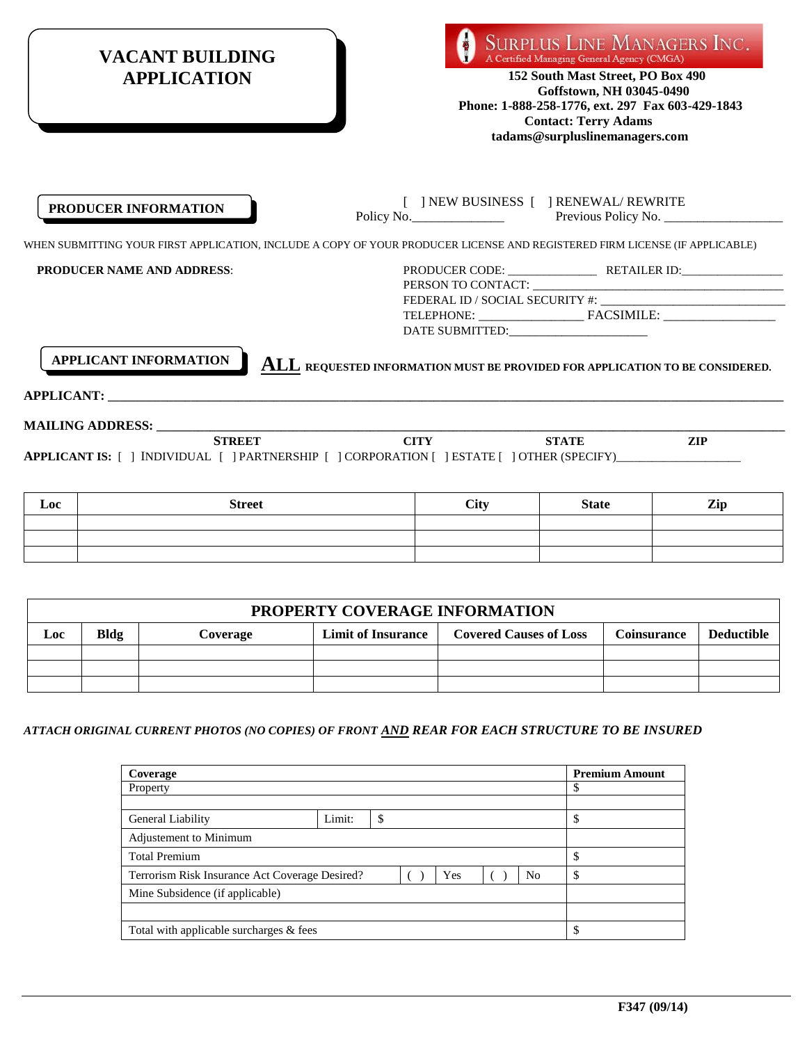| <b>VACANT BUILDING</b><br><b>APPLICATION</b>                 | <b>SURPLUS LINE MANAGERS INC.</b><br>A Certified Managing General Agency (CMGA)<br>152 South Mast Street, PO Box 490<br>Goffstown, NH 03045-0490<br>Phone: 1-888-258-1776, ext. 297 Fax 603-429-1843<br><b>Contact: Terry Adams</b><br>tadams@surpluslinemanagers.com |
|--------------------------------------------------------------|-----------------------------------------------------------------------------------------------------------------------------------------------------------------------------------------------------------------------------------------------------------------------|
| PRODUCER INFORMATION                                         | [ ] NEW BUSINESS [ ] RENEWAL/ REWRITE<br>Policy No. 2008 Previous Policy No.                                                                                                                                                                                          |
|                                                              | WHEN SUBMITTING YOUR FIRST APPLICATION, INCLUDE A COPY OF YOUR PRODUCER LICENSE AND REGISTERED FIRM LICENSE (IF APPLICABLE)                                                                                                                                           |
| <b>PRODUCER NAME AND ADDRESS:</b>                            |                                                                                                                                                                                                                                                                       |
|                                                              | DATE SUBMITTED: Parameters and the subset of the subset of the subset of the subset of the subset of the subset of the subset of the subset of the subset of the subset of the subset of the subset of the subset of the subse                                        |
| <b>APPLICANT INFORMATION</b><br><b>APPLICANT:</b> APPLICANT: | <b>ALL REQUESTED INFORMATION MUST BE PROVIDED FOR APPLICATION TO BE CONSIDERED.</b>                                                                                                                                                                                   |
|                                                              |                                                                                                                                                                                                                                                                       |
| <b>STREET</b>                                                | <b>CITY</b><br><b>STATE</b><br><b>ZIP</b>                                                                                                                                                                                                                             |
|                                                              | APPLICANT IS: [ ] INDIVIDUAL [ ] PARTNERSHIP [ ] CORPORATION [ ] ESTATE [ ] OTHER (SPECIFY)                                                                                                                                                                           |

| Loc | <b>Street</b> | <b>City</b> | <b>State</b> | Zip |
|-----|---------------|-------------|--------------|-----|
|     |               |             |              |     |
|     |               |             |              |     |
|     |               |             |              |     |

|     | PROPERTY COVERAGE INFORMATION |          |                           |                               |                    |                   |
|-----|-------------------------------|----------|---------------------------|-------------------------------|--------------------|-------------------|
| Loc | Bldg                          | Coverage | <b>Limit of Insurance</b> | <b>Covered Causes of Loss</b> | <b>Coinsurance</b> | <b>Deductible</b> |
|     |                               |          |                           |                               |                    |                   |
|     |                               |          |                           |                               |                    |                   |
|     |                               |          |                           |                               |                    |                   |

*ATTACH ORIGINAL CURRENT PHOTOS (NO COPIES) OF FRONT AND REAR FOR EACH STRUCTURE TO BE INSURED*

| Coverage                                       |        |    |     |                | <b>Premium Amount</b> |
|------------------------------------------------|--------|----|-----|----------------|-----------------------|
| Property                                       |        |    |     |                | \$                    |
|                                                |        |    |     |                |                       |
| General Liability                              | Limit: | \$ |     |                | \$                    |
| Adjustement to Minimum                         |        |    |     |                |                       |
| <b>Total Premium</b>                           |        |    |     |                | \$                    |
| Terrorism Risk Insurance Act Coverage Desired? |        |    | Yes | N <sub>0</sub> | ¢<br>э                |
| Mine Subsidence (if applicable)                |        |    |     |                |                       |
|                                                |        |    |     |                |                       |
| Total with applicable surcharges & fees        |        |    |     |                | \$.                   |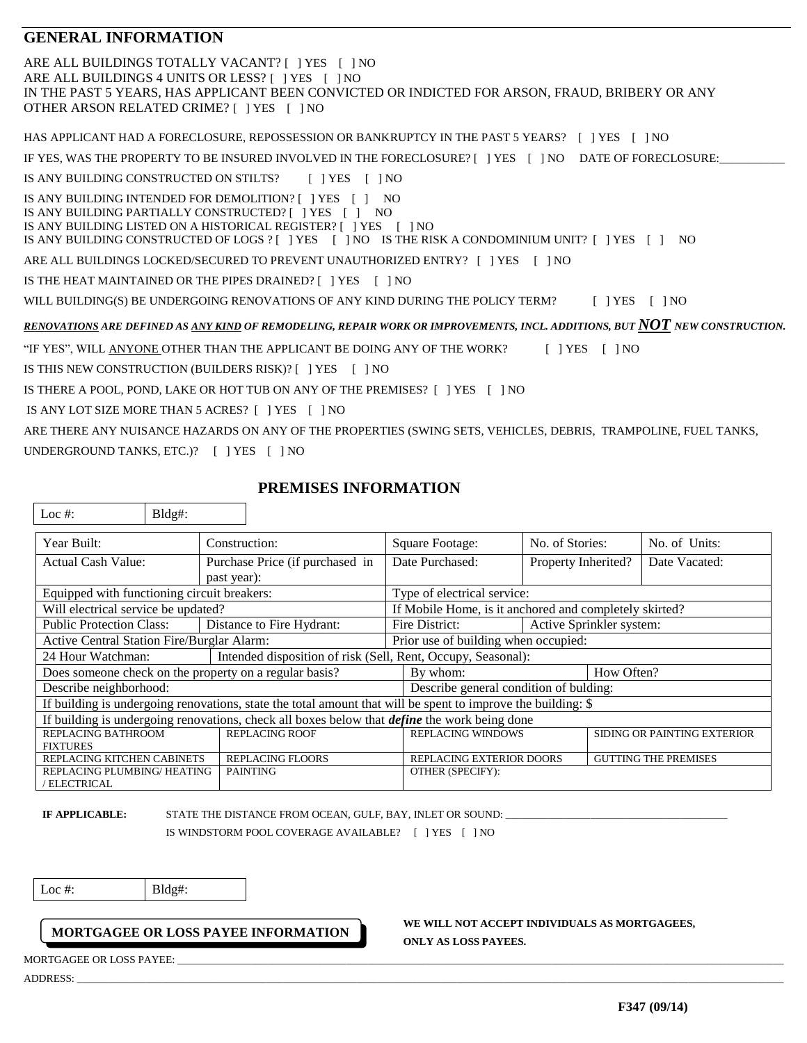## **GENERAL INFORMATION**

ARE ALL BUILDINGS TOTALLY VACANT? [ ] YES [ ] NO ARE ALL BUILDINGS 4 UNITS OR LESS? [ ] YES [ ] NO IN THE PAST 5 YEARS, HAS APPLICANT BEEN CONVICTED OR INDICTED FOR ARSON, FRAUD, BRIBERY OR ANY OTHER ARSON RELATED CRIME? [ ] YES [ ] NO HAS APPLICANT HAD A FORECLOSURE, REPOSSESSION OR BANKRUPTCY IN THE PAST 5 YEARS? [ ] YES [ ] NO IF YES, WAS THE PROPERTY TO BE INSURED INVOLVED IN THE FORECLOSURE? [ ] YES [ ] NO DATE OF FORECLOSURE: IS ANY BUILDING CONSTRUCTED ON STILTS?  $[ ]$  YES  $[ ]$  NO IS ANY BUILDING INTENDED FOR DEMOLITION? [ ] YES [ ] NO IS ANY BUILDING PARTIALLY CONSTRUCTED? [ ] YES [ ] NO IS ANY BUILDING LISTED ON A HISTORICAL REGISTER? [ ] YES [ ] NO IS ANY BUILDING CONSTRUCTED OF LOGS ? [ ] YES [ ] NO IS THE RISK A CONDOMINIUM UNIT? [ ] YES [ ] NO ARE ALL BUILDINGS LOCKED/SECURED TO PREVENT UNAUTHORIZED ENTRY? [ ] YES [ ] NO IS THE HEAT MAINTAINED OR THE PIPES DRAINED? [ ] YES [ ] NO WILL BUILDING(S) BE UNDERGOING RENOVATIONS OF ANY KIND DURING THE POLICY TERM? [ ] YES [ ] NO *RENOVATIONS ARE DEFINED AS ANY KIND OF REMODELING, REPAIR WORK OR IMPROVEMENTS, INCL. ADDITIONS, BUT NOT NEW CONSTRUCTION.* "IF YES", WILL ANYONE OTHER THAN THE APPLICANT BE DOING ANY OF THE WORK? [ ] YES [ ] NO IS THIS NEW CONSTRUCTION (BUILDERS RISK)? [ ] YES [ ] NO IS THERE A POOL, POND, LAKE OR HOT TUB ON ANY OF THE PREMISES? [ ] YES [ ] NO IS ANY LOT SIZE MORE THAN 5 ACRES? [ ] YES [ ] NO ARE THERE ANY NUISANCE HAZARDS ON ANY OF THE PROPERTIES (SWING SETS, VEHICLES, DEBRIS, TRAMPOLINE, FUEL TANKS,

UNDERGROUND TANKS, ETC.)? [ ] YES [ ] NO

 $\left| \right|$  Loc # $\left| \right|$  Bldg# $\cdot$ 

## **PREMISES INFORMATION**

| Year Built:                                            | Construction:                                                                                                | Square Footage:                                        | No. of Stories:          | No. of Units:               |
|--------------------------------------------------------|--------------------------------------------------------------------------------------------------------------|--------------------------------------------------------|--------------------------|-----------------------------|
| <b>Actual Cash Value:</b>                              | Purchase Price (if purchased in                                                                              | Date Purchased:                                        | Property Inherited?      | Date Vacated:               |
|                                                        | past year):                                                                                                  |                                                        |                          |                             |
| Equipped with functioning circuit breakers:            |                                                                                                              | Type of electrical service:                            |                          |                             |
| Will electrical service be updated?                    |                                                                                                              | If Mobile Home, is it anchored and completely skirted? |                          |                             |
| <b>Public Protection Class:</b>                        | Distance to Fire Hydrant:                                                                                    | Fire District:                                         | Active Sprinkler system: |                             |
| Active Central Station Fire/Burglar Alarm:             |                                                                                                              | Prior use of building when occupied:                   |                          |                             |
| 24 Hour Watchman:                                      | Intended disposition of risk (Sell, Rent, Occupy, Seasonal):                                                 |                                                        |                          |                             |
| Does someone check on the property on a regular basis? |                                                                                                              | By whom:                                               |                          | How Often?                  |
| Describe neighborhood:                                 |                                                                                                              | Describe general condition of bulding:                 |                          |                             |
|                                                        | If building is undergoing renovations, state the total amount that will be spent to improve the building: \$ |                                                        |                          |                             |
|                                                        | If building is undergoing renovations, check all boxes below that <i>define</i> the work being done          |                                                        |                          |                             |
| REPLACING BATHROOM                                     | <b>REPLACING ROOF</b>                                                                                        | <b>REPLACING WINDOWS</b>                               |                          | SIDING OR PAINTING EXTERIOR |
| <b>FIXTURES</b><br>REPLACING KITCHEN CABINETS          | <b>REPLACING FLOORS</b>                                                                                      | REPLACING EXTERIOR DOORS                               |                          | <b>GUTTING THE PREMISES</b> |
| REPLACING PLUMBING/HEATING                             | <b>PAINTING</b>                                                                                              | OTHER (SPECIFY):                                       |                          |                             |
| / ELECTRICAL                                           |                                                                                                              |                                                        |                          |                             |

**IF APPLICABLE:** STATE THE DISTANCE FROM OCEAN, GULF, BAY, INLET OR SOUND:

IS WINDSTORM POOL COVERAGE AVAILABLE? [ ] YES [ ] NO

Loc  $\#$ : Bldg#:

## **MORTGAGEE OR LOSS PAYEE INFORMATION**

MORTGAGEE OR LOSS PAYEE:

ADDRESS: \_\_\_\_\_\_\_\_\_\_\_\_\_\_\_\_\_\_\_\_\_\_\_\_\_\_\_\_\_\_\_\_\_\_\_\_\_\_\_\_\_\_\_\_\_\_\_\_\_\_\_\_\_\_\_\_\_\_\_\_\_\_\_\_\_\_\_\_\_\_\_\_\_\_\_\_\_\_\_\_\_\_\_\_\_\_\_\_\_\_\_\_\_\_\_\_\_\_\_\_\_\_\_\_\_\_\_\_\_\_\_\_\_\_\_\_\_\_\_\_\_\_\_\_\_\_\_\_\_\_\_\_\_\_

**WE WILL NOT ACCEPT INDIVIDUALS AS MORTGAGEES,**

**ONLY AS LOSS PAYEES.**